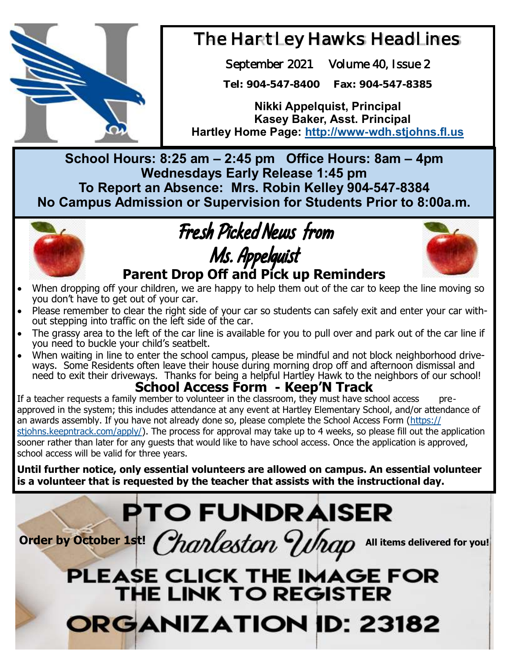

### The Hartley Hawks Headlines

September 2021 Volume 40, Issue 2

**Tel: 904-547-8400 Fax: 904-547-8385**

**Nikki Appelquist, Principal Kasey Baker, Asst. Principal Hartley Home Page: <http://www-wdh.stjohns.fl.us>**

**School Hours: 8:25 am – 2:45 pm Office Hours: 8am – 4pm Wednesdays Early Release 1:45 pm To Report an Absence: Mrs. Robin Kelley 904-547-8384 No Campus Admission or Supervision for Students Prior to 8:00a.m.** 



### Fresh Picked News from Ms. Appelquist **Parent Drop Off and Pick up Reminders**



- When dropping off your children, we are happy to help them out of the car to keep the line moving so you don't have to get out of your car.
- Please remember to clear the right side of your car so students can safely exit and enter your car without stepping into traffic on the left side of the car.
- The grassy area to the left of the car line is available for you to pull over and park out of the car line if you need to buckle your child's seatbelt.
- When waiting in line to enter the school campus, please be mindful and not block neighborhood drivewhen walling in line to ships. The senser sample, pieces so minimum and the significant more than ways. Some Residents often leave their house during morning drop off and afternoon dismissal and need to exit their driveways. Thanks for being a helpful Hartley Hawk to the neighbors of our school!

### **School Access Form - Keep'N Track**

If a teacher requests a family member to volunteer in the classroom, they must have school access approved in the system; this includes attendance at any event at Hartley Elementary School, and/or attendance of an awards assembly. If you have not already done so, please complete the School Access Form ([https://](https://stjohns.keepntrack.com/apply/) stiohns.keepntrack.com/apply/). The process for approval may take up to 4 weeks, so please fill out the application sooner rather than later for any guests that would like to have school access. Once the application is approved, school access will be valid for three years.

**Until further notice, only essential volunteers are allowed on campus. An essential volunteer is a volunteer that is requested by the teacher that assists with the instructional day.** 

# **PTO FUNDRAISER**

Order by October 1st! *Charleston VInap* All items delivered for you!

## PLEASE CLICK THE IMAGE FOR THE LINK TO REGISTER ORGANIZATION ID: 23182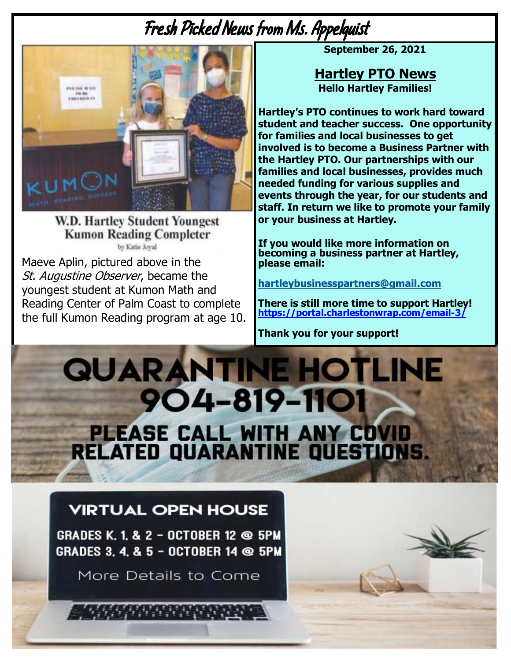## Fresh Picked News from Ms. Appelquist



**W.D. Hartley Student Youngest Kumon Reading Completer** by Katie Joval

Maeve Aplin, pictured above in the St. Augustine Observer, became the youngest student at Kumon Math and Reading Center of Palm Coast to complete the full Kumon Reading program at age 10. **September 26, 2021** 

**Hartley PTO News Hello Hartley Families!** 

**Hartley's PTO continues to work hard toward student and teacher success. One opportunity for families and local businesses to get involved is to become a Business Partner with the Hartley PTO. Our partnerships with our families and local businesses, provides much needed funding for various supplies and events through the year, for our students and staff. In return we like to promote your family or your business at Hartley.** 

**If you would like more information on becoming a business partner at Hartley, please email:** 

**[hartleybusinesspartners@gmail.com](mailto:hartleybusinesspartners@gmail.com)**

**There is still more time to support Hartley! [https://portal.charlestonwrap.com/email-3/](https://nam12.safelinks.protection.outlook.com/?url=https%3A%2F%2Fportal.charlestonwrap.com%2Femail-3%2F&data=04%7C01%7CJacey.Gwaltney%40stjohns.k12.fl.us%7C9354adbd6a404c4acd0808d97f76d4c5%7Cb3b3d057fc124f3f92f472be6e844351%7C0%7C0%7C637680970621195975%7CUnk)**

**Thank you for your support!**

**QUARANTINE HOTLINE 904-819-1101** PLEASE CALL WITH ANY COVID<br>RELATED QUARANTINE QUESTIONS.

### **VIRTUAL OPEN HOUSE**

**GRADES K. 1. & 2 - OCTOBER 12 @ 5PM** GRADES 3. 4. & 5 - OCTOBER 14 @ 5PM

More Details to Come

*SAMPAN RENEW*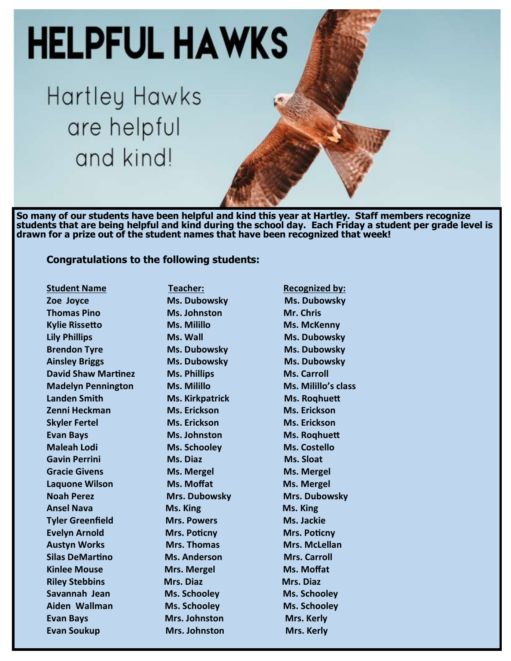

**students that are being helpful and kind during the school day. Each Friday a student per grade level is drawn for a prize out of the student names that have been recognized that week!** 

#### **Congratulations to the following students:**

**Student Name Teacher: Teacher: Recognized by: Zoe Joyce Ms. Dubowsky Ms. Dubowsky Thomas Pino Ms. Johnston** Mr. Chris **Kylie Rissetto Ms. Millillo Ms. McKenny Lily Phillips <b>Ms. Wall** Ms. Wall **Ms. Dubowsky Brendon Tyre Ms. Dubowsky** Ms. Dubowsky **Ainsley Briggs Ms. Dubowsky Ms. Dubowsky David Shaw Martinez Ms. Phillips Ms. Carroll Madelyn Pennington Ms. Milillo Ms. Milillo's class Landen Smith Ms. Kirkpatrick** Ms. Roqhuett **Zenni Heckman Ms. Erickson Ms. Erickson Skyler Fertel Ms. Erickson Ms. Erickson Evan Bays Ms. Johnston Ms. Roqhuett Maleah Lodi Ms. Schooley Ms. Costello Gavin Perrini Ms. Diaz Ms. 2008** Ms. Sloat **Gracie Givens Ms. Mergel Ms. Mergel** Ms. Mergel **Laquone Wilson Ms. Moffat Ms. Mergel Noah Perez Mrs. Dubowsky Mrs. Dubowsky Ansel Nava Ms. King Ms. King Tyler Greenfield Mrs. Powers Ms. Jackie Evelyn Arnold Mrs. Poticny Mrs. Poticny Austyn Works Mrs. Thomas Mrs. McLellan Silas DeMartino Ms. Anderson Mrs. Carroll Kinlee Mouse Mrs. Mergel Ms. Moffat Riley Stebbins Mrs. Diaz Mrs. Diaz Savannah Jean Ms. Schooley Ms. Schooley Aiden Wallman Ms. Schooley Ms. Schooley Evan Bays** Mrs. Johnston Mrs. Mrs. Kerly **Evan Soukup Mrs. Johnston Mrs. Kerly**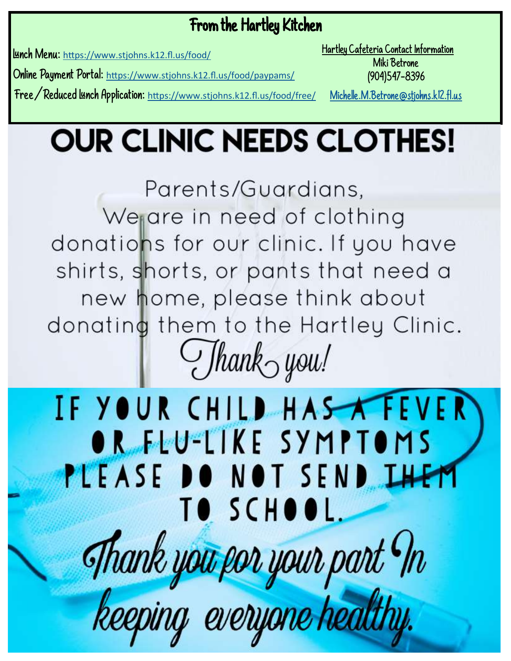### From the Hartley Kitchen

Lunch Menu: [https://www.stjohns.k12.fl.us/food/](https://nam12.safelinks.protection.outlook.com/?url=https%3A%2F%2Fwww.stjohns.k12.fl.us%2Ffood%2F&data=04%7C01%7CJacey.Gwaltney%40stjohns.k12.fl.us%7Ce350cb4df1d5453cdc8c08d96332da36%7Cb3b3d057fc124f3f92f472be6e844351%7C0%7C0%7C637649892320641784%7CUnknown%7C)

Hartley Cafeteria Contact Information Miki Betrone (904)547-8396

Online Payment Portal: [https://www.stjohns.k12.fl.us/food/paypams/](https://nam12.safelinks.protection.outlook.com/?url=https%3A%2F%2Fwww.stjohns.k12.fl.us%2Ffood%2Fpaypams%2F&data=04%7C01%7CJacey.Gwaltney%40stjohns.k12.fl.us%7Ce350cb4df1d5453cdc8c08d96332da36%7Cb3b3d057fc124f3f92f472be6e844351%7C0%7C0%7C637649892320651800%7C)

Free/Reduced Lunch Application: [https://www.stjohns.k12.fl.us/food/free/](https://nam12.safelinks.protection.outlook.com/?url=https%3A%2F%2Fwww.stjohns.k12.fl.us%2Ffood%2Ffree%2F&data=04%7C01%7CJacey.Gwaltney%40stjohns.k12.fl.us%7Ce350cb4df1d5453cdc8c08d96332da36%7Cb3b3d057fc124f3f92f472be6e844351%7C0%7C0%7C637649892320651800%7CUnk)

[Michelle.M.Betrone@stjohns.k12.fl.us](mailto:Michelle.M.Betrone@stjohns.k12.fl.us)

# **OUR CLINIC NEEDS CLOTHES!**

Parents/Guardians, We are in need of clothing donations for our clinic. If you have shirts, shorts, or pants that need a new home, please think about donating them to the Hartley Clinic.  $Jhank<sub>o</sub>$  you!

# IF YOUR CHILD HAS TEVER OR FEU-LIKE SYMPTOMS PLEASE DO NOT SEND IHEM TO SCHOOL. Thank you por your part In keeping everyone healthy.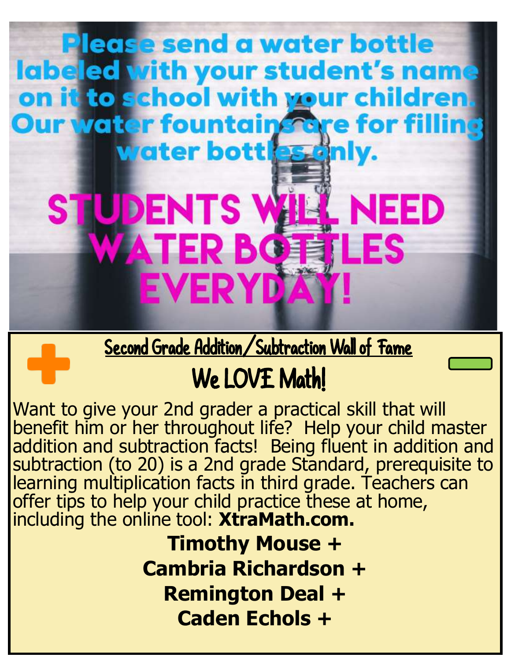## **Our water fountain fore for filli Water bott es en STUDENTS W** . NEED **WATER BOT** TLES **EVERYD**

**Please send a water bottle** 

labeled vith your student's name

on it to school with your children.

Second Grade Addition/Subtraction Wall of Fame

# We LOVE Math!

Want to give your 2nd grader a practical skill that will benefit him or her throughout life? Help your child master addition and subtraction facts! Being fluent in addition and subtraction (to 20) is a 2nd grade Standard, prerequisite to learning multiplication facts in third grade. Teachers can offer tips to help your child practice these at home, including the online tool: **XtraMath.com.** 

> **Timothy Mouse + Cambria Richardson + Remington Deal + Caden Echols +**